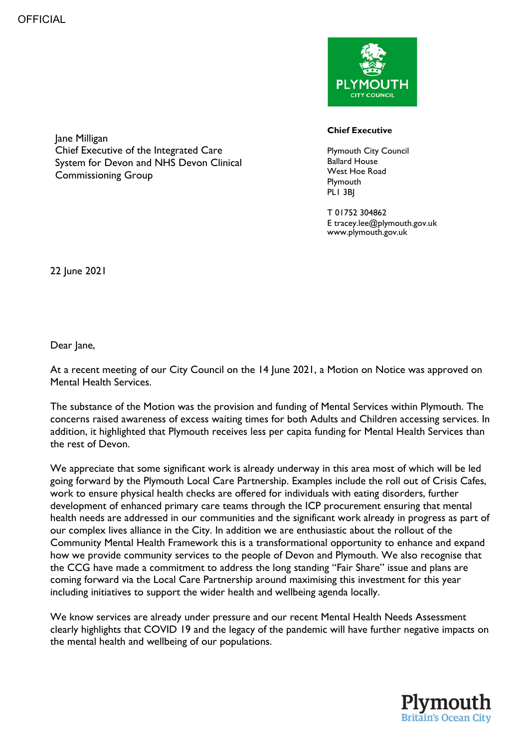



## **Chief Executive**

Plymouth City Council Ballard House West Hoe Road **Plymouth** PLI 3BI

T 01752 304862 E tracey.lee@plymouth.gov.uk www.plymouth.gov.uk

22 June 2021

Dear Jane,

At a recent meeting of our City Council on the 14 June 2021, a Motion on Notice was approved on Mental Health Services.

The substance of the Motion was the provision and funding of Mental Services within Plymouth. The concerns raised awareness of excess waiting times for both Adults and Children accessing services. In addition, it highlighted that Plymouth receives less per capita funding for Mental Health Services than the rest of Devon.

We appreciate that some significant work is already underway in this area most of which will be led going forward by the Plymouth Local Care Partnership. Examples include the roll out of Crisis Cafes, work to ensure physical health checks are offered for individuals with eating disorders, further development of enhanced primary care teams through the ICP procurement ensuring that mental health needs are addressed in our communities and the significant work already in progress as part of our complex lives alliance in the City. In addition we are enthusiastic about the rollout of the Community Mental Health Framework this is a transformational opportunity to enhance and expand how we provide community services to the people of Devon and Plymouth. We also recognise that the CCG have made a commitment to address the long standing "Fair Share" issue and plans are coming forward via the Local Care Partnership around maximising this investment for this year including initiatives to support the wider health and wellbeing agenda locally.

We know services are already under pressure and our recent Mental Health Needs Assessment clearly highlights that COVID 19 and the legacy of the pandemic will have further negative impacts on the mental health and wellbeing of our populations.